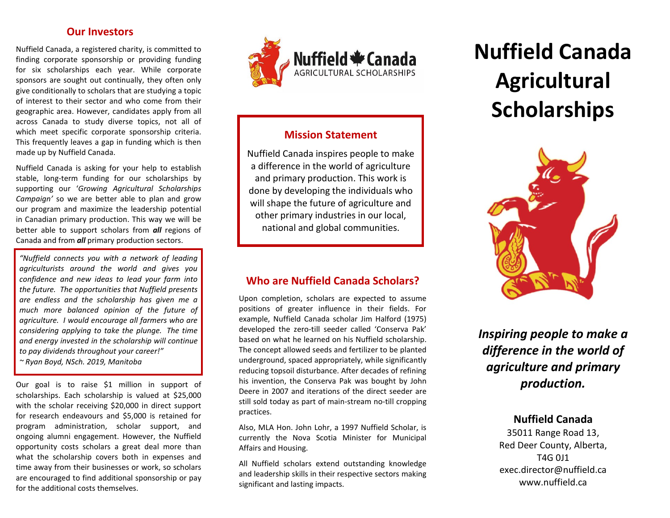### Our Investors

Nuffield Canada, a registered charity, is committed to finding corporate sponsorship or providing funding for six scholarships each year. While corporate sponsors are sought out continually, they often only give conditionally to scholars that are studying a topic of interest to their sector and who come from their geographic area. However, candidates apply from all across Canada to study diverse topics, not all of which meet specific corporate sponsorship criteria. This frequently leaves a gap in funding which is then made up by Nuffield Canada.

Nuffield Canada is asking for your help to establish stable, long-term funding for our scholarships by supporting our 'Growing Agricultural Scholarships Campaign' so we are better able to plan and grow our program and maximize the leadership potential in Canadian primary production. This way we will be better able to support scholars from **all** regions of Canada and from **all** primary production sectors.

"Nuffield connects you with a network of leading agriculturists around the world and gives you confidence and new ideas to lead your farm into the future. The opportunities that Nuffield presents are endless and the scholarship has given me a much more balanced opinion of the future of agriculture. I would encourage all farmers who are considering applying to take the plunge. The time and energy invested in the scholarship will continue to pay dividends throughout your career!" ~ Ryan Boyd, NSch. 2019, Manitoba

Our goal is to raise \$1 million in support of scholarships. Each scholarship is valued at \$25,000 with the scholar receiving \$20,000 in direct support for research endeavours and \$5,000 is retained for program administration, scholar support, and ongoing alumni engagement. However, the Nuffield opportunity costs scholars a great deal more than what the scholarship covers both in expenses and time away from their businesses or work, so scholars are encouraged to find additional sponsorship or pay for the additional costs themselves.



# Mission Statement

Nuffield Canada inspires people to make a difference in the world of agriculture and primary production. This work is done by developing the individuals who will shape the future of agriculture and other primary industries in our local, national and global communities.

# Who are Nuffield Canada Scholars?

Upon completion, scholars are expected to assume positions of greater influence in their fields. For example, Nuffield Canada scholar Jim Halford (1975) developed the zero-till seeder called 'Conserva Pak' based on what he learned on his Nuffield scholarship. The concept allowed seeds and fertilizer to be planted underground, spaced appropriately, while significantly reducing topsoil disturbance. After decades of refining his invention, the Conserva Pak was bought by John Deere in 2007 and iterations of the direct seeder are still sold today as part of main-stream no-till cropping practices.

Also, MLA Hon. John Lohr, a 1997 Nuffield Scholar, is currently the Nova Scotia Minister for Municipal Affairs and Housing.

All Nuffield scholars extend outstanding knowledge and leadership skills in their respective sectors making significant and lasting impacts.

# Nuffield Canada **Agricultural Scholarships**



Inspiring people to make a difference in the world of agriculture and primary production.

## Nuffield Canada

35011 Range Road 13, Red Deer County, Alberta, T4G 0J1 exec.director@nuffield.ca www.nuffield.ca